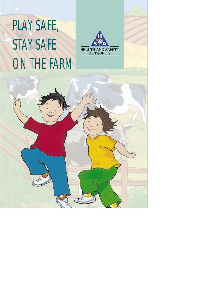## PLAY SAFE, STAY SAFE ON THE FARM



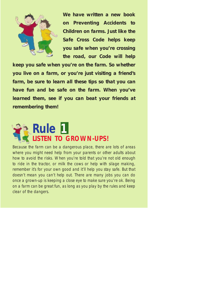

**We have written a new book on Preventing Accidents to Children on farms. Just like the Safe Cross Code helps keep you safe when you're crossing the road, our Code will help**

**keep you safe when you're on the farm. So whether you live on a farm, or you're just visiting a friend's farm, be sure to learn all these tips so that you can have fun and be safe on the farm. When you've learned them, see if you can beat your friends at remembering them!**



Because the farm can be a dangerous place, there are lots of areas where you might need help from your parents or other adults about how to avoid the risks. When you're told that you're not old enough to ride in the tractor, or milk the cows or help with silage making, remember it's for your own good and it'll help you stay safe. But that doesn't mean you can't help out. There are many jobs you can do once a grown-up is keeping a close eye to make sure you're ok. Being on a farm can be great fun, as long as you play by the rules and keep clear of the dangers.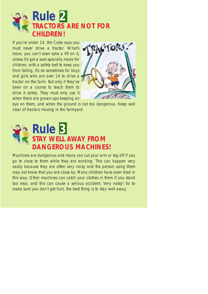

If you're under 14, the Code says you must never drive a tractor. What's more, you can't even take a lift on it, unless it's got a seat specially made for children, with a safety belt to keep you from falling. It's ok sometimes for boys and girls who are over 14 to drive a tractor on the farm. But only if they've been on a course to teach them to drive it safely. They must only use it when there are grown-ups keeping an



eye on them, and when the ground is not too dangerous. Keep well clear of tractors moving in the farmyard.



Machines are dangerous and many can cut your arm or leg off if you go to close to them while they are working. This can happen very easily because they are often very noisy and the person using them may not know that you are close by. Many children have even died in this way. Other machines can catch your clothes in them if you stand too near, and this can cause a serious accident. Very nasty! So to make sure you don't get hurt, the best thing is to stay well away.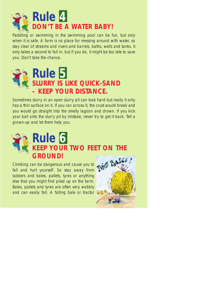

Paddling or swimming in the swimming pool can be fun, but only when it is safe. A farm is no place for messing around with water, so stay clear of streams and rivers and barrels, baths, wells and tanks. It only takes a second to fall in, but if you do, it might be too late to save you. Don't take the chance.



Sometimes slurry in an open slurry pit can look hard but really it only has a thin surface on it. If you ran across it, the crust would break and you would go straight into the smelly lagoon and drown. If you kick your ball onto the slurry pit by mistake, never try to get it back. Tell a grown-up and let them help you.



Climbing can be dangerous and cause you to fall and hurt yourself. So stay away from ladders and bales, pallets, tyres or anything else that you might find piled up on the farm. Bales, pallets and tyres are often very wobbly and can easily fall. A falling bale or tractor

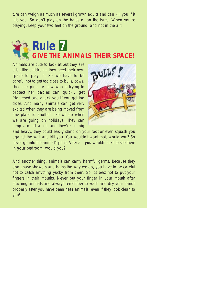tyre can weigh as much as several grown adults and can kill you if it hits you. So don't play on the bales or on the tyres. When you're playing, keep your two feet on the ground, and not in the air!



Animals are cute to look at but they are a bit like children – they need their own space to play in. So we have to be careful not to get too close to bulls, cows, sheep or pigs. A cow who is trying to protect her babies can quickly get frightened and attack you if you get too close. And many animals can get very excited when they are being moved from one place to another, like we do when we are going on holidays! They can jump around a lot, and they're so big



and heavy, they could easily stand on your foot or even squash you against the wall and kill you. You wouldn't want that, would you? So never go into the animal's pens. After all, **you** wouldn't like to see them in **your** bedroom, would you?

And another thing, animals can carry harmful germs. Because they don't have showers and baths the way we do, you have to be careful not to catch anything yucky from them. So it's best not to put your fingers in their mouths. Never put your finger in your mouth after touching animals and always remember to wash and dry your hands properly after you have been near animals, even if they look clean to you!